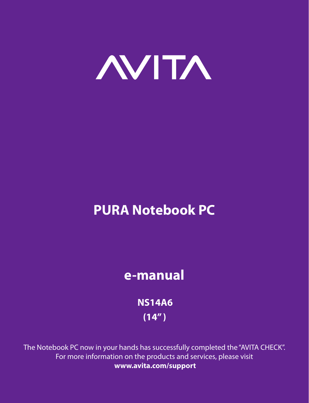

# **PURA Notebook PC**

## **e-manual**

 **NS14A6 (14" )**

The Notebook PC now in your hands has successfully completed the "AVITA CHECK". For more information on the products and services, please visit **www.avita.com/support**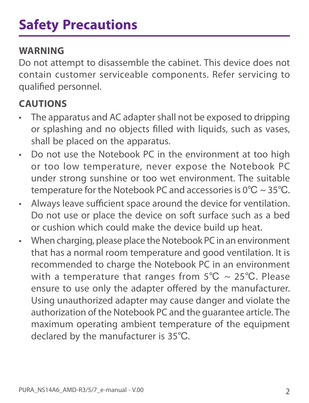#### **WARNING**

Do not attempt to disassemble the cabinet. This device does not contain customer serviceable components. Refer servicing to qualified personnel.

## **CAUTIONS**

- The apparatus and AC adapter shall not be exposed to dripping or splashing and no objects filled with liquids, such as vases, shall be placed on the apparatus.
- Do not use the Notebook PC in the environment at too high or too low temperature, never expose the Notebook PC under strong sunshine or too wet environment. The suitable temperature for the Notebook PC and accessories is 0℃ ~ 35℃.
- Always leave sufficient space around the device for ventilation. Do not use or place the device on soft surface such as a bed or cushion which could make the device build up heat.
- When charging, please place the Notebook PC in an environment that has a normal room temperature and good ventilation. It is recommended to charge the Notebook PC in an environment with a temperature that ranges from  $5^{\circ}C \sim 25^{\circ}C$ . Please ensure to use only the adapter offered by the manufacturer. Using unauthorized adapter may cause danger and violate the authorization of the Notebook PC and the guarantee article. The maximum operating ambient temperature of the equipment declared by the manufacturer is 35℃.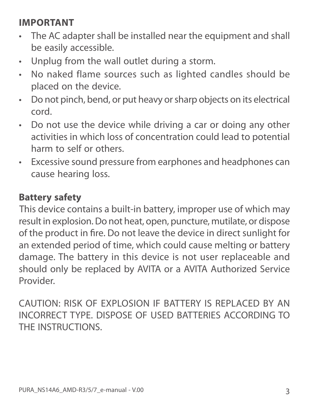### **IMPORTANT**

- The AC adapter shall be installed near the equipment and shall be easily accessible.
- Unplug from the wall outlet during a storm.
- No naked flame sources such as lighted candles should be placed on the device.
- Do not pinch, bend, or put heavy or sharp objects on its electrical cord.
- Do not use the device while driving a car or doing any other activities in which loss of concentration could lead to potential harm to self or others.
- Excessive sound pressure from earphones and headphones can cause hearing loss.

#### **Battery safety**

This device contains a built-in battery, improper use of which may result in explosion. Do not heat, open, puncture, mutilate, or dispose of the product in fire. Do not leave the device in direct sunlight for an extended period of time, which could cause melting or battery damage. The battery in this device is not user replaceable and should only be replaced by AVITA or a AVITA Authorized Service Provider.

CAUTION: RISK OF EXPLOSION IF BATTERY IS REPLACED BY AN INCORRECT TYPE. DISPOSE OF USED BATTERIES ACCORDING TO THE INSTRUCTIONS.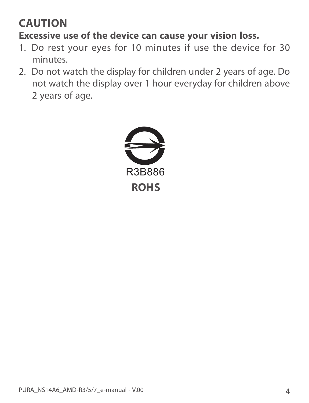## **CAUTION**

### **Excessive use of the device can cause your vision loss.**

- 1. Do rest your eyes for 10 minutes if use the device for 30 minutes.
- 2. Do not watch the display for children under 2 years of age. Do not watch the display over 1 hour everyday for children above 2 years of age.

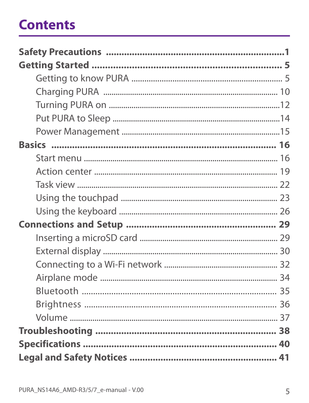# **Contents**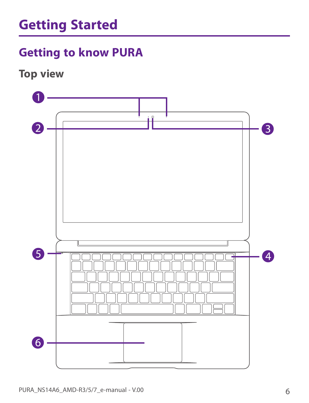## **Getting to know PURA**

**Top view**

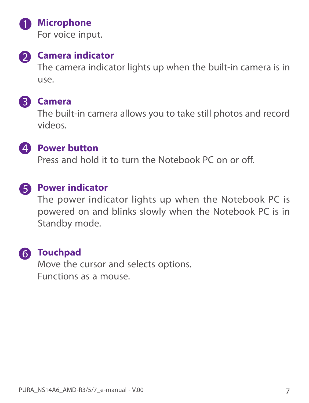

#### **A** Microphone

For voice input.



## **2** Camera indicator

The camera indicator lights up when the built-in camera is in use.

#### **Camera**

The built-in camera allows you to take still photos and record videos.



#### *A* Power button

Press and hold it to turn the Notebook PC on or off.

### **B** Power indicator

The power indicator lights up when the Notebook PC is powered on and blinks slowly when the Notebook PC is in Standby mode.

### **Touchpad**

Move the cursor and selects options. Functions as a mouse.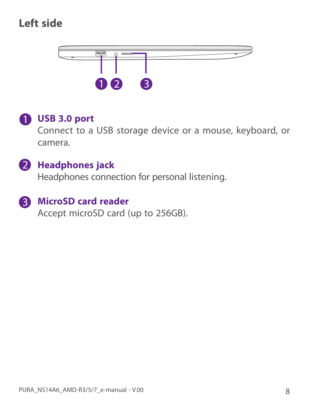## **Left side**



### **USB 3.0 port**

Connect to a USB storage device or a mouse, keyboard, or camera.

#### **2** Headphones jack

Headphones connection for personal listening.

#### **8** MicroSD card reader

Accept microSD card (up to 256GB).

8 PURA\_NS14A6\_AMD-R3/5/7\_e-manual - V.00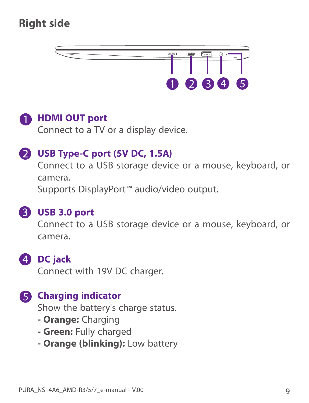## **Right side**





Connect to a TV or a display device.

#### **USB Type-C port (5V DC, 1.5A)**

Connect to a USB storage device or a mouse, keyboard, or camera.

Supports DisplayPort™ audio/video output.



#### **USB 3.0 port**

Connect to a USB storage device or a mouse, keyboard, or camera.

### **DC jack**

Connect with 19V DC charger.

#### **G** Charging indicator

Show the battery's charge status.

- **Orange:** Charging
- **Green:** Fully charged
- **Orange (blinking):** Low battery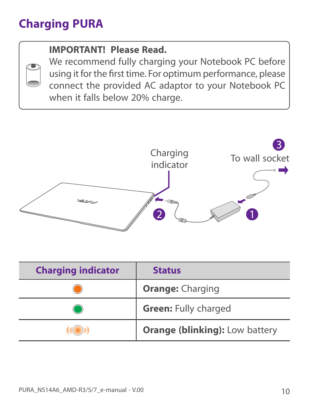## **Charging PURA**

### **IMPORTANT! Please Read.**

We recommend fully charging your Notebook PC before using it for the first time. For optimum performance, please connect the provided AC adaptor to your Notebook PC when it falls below 20% charge.



| <b>Charging indicator</b> | <b>Status</b>                         |
|---------------------------|---------------------------------------|
|                           | <b>Orange: Charging</b>               |
|                           | <b>Green: Fully charged</b>           |
|                           | <b>Orange (blinking): Low battery</b> |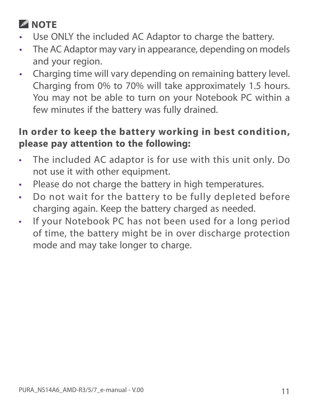## **NOTE**

- Use ONLY the included AC Adaptor to charge the battery.
- The AC Adaptor may vary in appearance, depending on models and your region.
- Charging time will vary depending on remaining battery level. Charging from 0% to 70% will take approximately 1.5 hours. You may not be able to turn on your Notebook PC within a few minutes if the battery was fully drained.

#### **In order to keep the battery working in best condition, please pay attention to the following:**

- The included AC adaptor is for use with this unit only. Do not use it with other equipment.
- Please do not charge the battery in high temperatures.
- Do not wait for the battery to be fully depleted before charging again. Keep the battery charged as needed.
- If your Notebook PC has not been used for a long period of time, the battery might be in over discharge protection mode and may take longer to charge.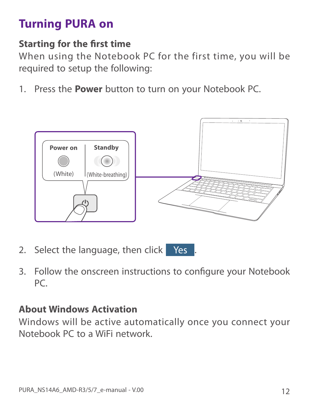## **Turning PURA on**

#### **Starting for the first time**

When using the Notebook PC for the first time, you will be required to setup the following:

1. Press the **Power** button to turn on your Notebook PC.



- 2. Select the language, then click **Yes**
- 3. Follow the onscreen instructions to configure your Notebook PC.

#### **About Windows Activation**

Windows will be active automatically once you connect your Notebook PC to a WiFi network.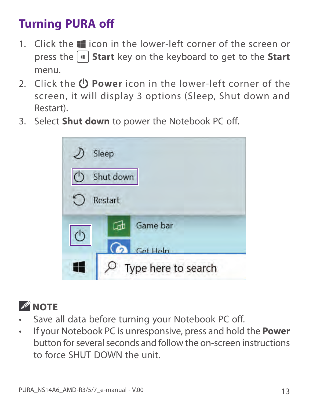## **Turning PURA off**

- 1. Click the  $\blacksquare$  icon in the lower-left corner of the screen or press the **Start** key on the keyboard to get to the **Start** menu.
- 2. Click the  $\bigcirc$  **Power** icon in the lower-left corner of the screen, it will display 3 options (Sleep, Shut down and Restart).
- 3. Select **Shut down** to power the Notebook PC off.



![](_page_12_Picture_5.jpeg)

- Save all data before turning your Notebook PC off.
- If your Notebook PC is unresponsive, press and hold the **Power** button for several seconds and follow the on-screen instructions to force SHUT DOWN the unit.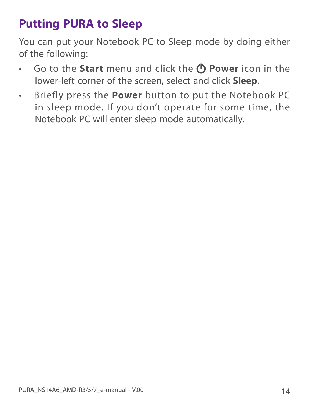## **Putting PURA to Sleep**

You can put your Notebook PC to Sleep mode by doing either of the following:

- **•** Go to the **Start** menu and click the *D* **Power** icon in the lower-left corner of the screen, select and click **Sleep**.
- Briefly press the **Power** button to put the Notebook PC in sleep mode. If you don't operate for some time, the Notebook PC will enter sleep mode automatically.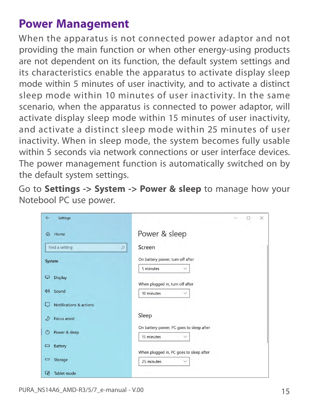## **Power Management**

When the apparatus is not connected power adaptor and not providing the main function or when other energy-using products are not dependent on its function, the default system settings and its characteristics enable the apparatus to activate display sleep mode within 5 minutes of user inactivity, and to activate a distinct sleep mode within 10 minutes of user inactivity. In the same scenario, when the apparatus is connected to power adaptor, will activate display sleep mode within 15 minutes of user inactivity, and activate a distinct sleep mode within 25 minutes of user inactivity. When in sleep mode, the system becomes fully usable within 5 seconds via network connections or user interface devices. The power management function is automatically switched on by the default system settings.

Go to **Settings -> System -> Power & sleep** to manage how your Notebool PC use power.

| $\leftarrow$<br>Settings            | $\times$                                                               |
|-------------------------------------|------------------------------------------------------------------------|
| Home<br>⋒                           | Power & sleep                                                          |
| Find a setting                      | Screen<br>$\varphi$                                                    |
| System                              | On battery power, turn off after<br>5 minutes                          |
| <b>Display</b><br>⋤                 | When plugged in, turn off after                                        |
| ((以<br>Sound                        | 10 minutes                                                             |
| <b>Notifications &amp; actions</b>  |                                                                        |
| Focus assist                        | Sleep                                                                  |
| Power & sleep<br>$\circlearrowleft$ | On battery power, PC goes to sleep after<br>15 minutes<br>$\checkmark$ |
| <b>Battery</b><br>$\Box$            | When plugged in, PC goes to sleep after                                |
| Storage<br>Ţ                        | 25 minutes<br>$\checkmark$                                             |
| 叼<br>Tablet mode                    |                                                                        |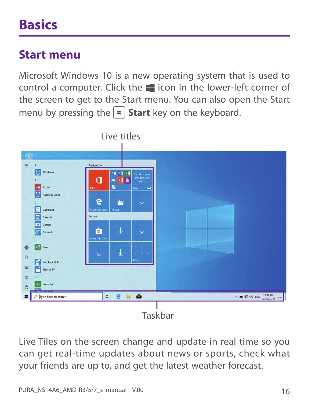# **Basics**

## **Start menu**

Microsoft Windows 10 is a new operating system that is used to control a computer. Click the  $\blacksquare$  icon in the lower-left corner of the screen to get to the Start menu. You can also open the Start menu by pressing the  $|\cdot|$  **Start** key on the keyboard.

![](_page_15_Picture_3.jpeg)

Live Tiles on the screen change and update in real time so you can get real-time updates about news or sports, check what your friends are up to, and get the latest weather forecast.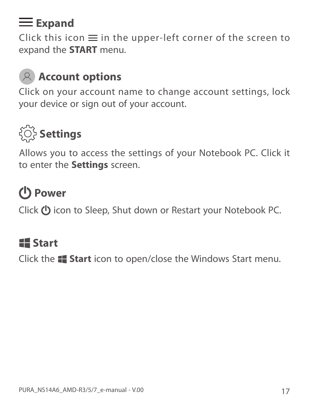## **Expand**

Click this icon  $\equiv$  in the upper-left corner of the screen to expand the **START** menu.

## **Account options**

Click on your account name to change account settings, lock your device or sign out of your account.

![](_page_16_Picture_4.jpeg)

Allows you to access the settings of your Notebook PC. Click it to enter the **Settings** screen.

# **Power**

Click  $\bigcup$  icon to Sleep, Shut down or Restart your Notebook PC.

## **Start**

Click the **Start** icon to open/close the Windows Start menu.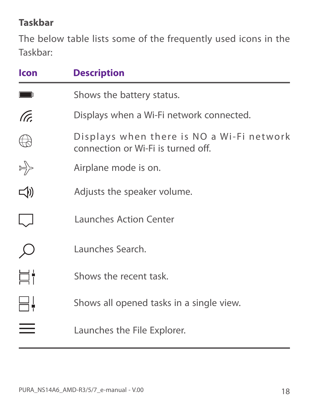#### **Taskbar**

The below table lists some of the frequently used icons in the Taskbar:

| lcon    | <b>Description</b>                                                              |
|---------|---------------------------------------------------------------------------------|
|         | Shows the battery status.                                                       |
| (Tr.    | Displays when a Wi-Fi network connected.                                        |
|         | Displays when there is NO a Wi-Fi network<br>connection or Wi-Fi is turned off. |
|         | Airplane mode is on.                                                            |
| $\Box$  | Adjusts the speaker volume.                                                     |
|         | <b>Launches Action Center</b>                                                   |
|         | Launches Search.                                                                |
| ⊟‡<br>⊟ | Shows the recent task.                                                          |
|         | Shows all opened tasks in a single view.                                        |
|         | Launches the File Explorer.                                                     |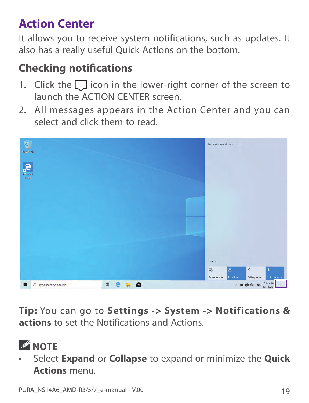## **Action Center**

It allows you to receive system notifications, such as updates. It also has a really useful Quick Actions on the bottom.

## **Checking notifications**

- 1. Click the  $\Box$  icon in the lower-right corner of the screen to launch the ACTION CENTER screen.
- 2. All messages appears in the Action Center and you can select and click them to read.

![](_page_18_Picture_5.jpeg)

**Tip:** You can go to **Settings -> System -> Notifications & actions** to set the Notifications and Actions.

• Select **Expand** or **Collapse** to expand or minimize the **Quick Actions** menu.

*A* NOTE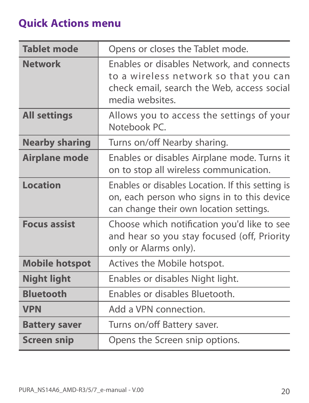## **Quick Actions menu**

| <b>Tablet mode</b>    | Opens or closes the Tablet mode.                                                                                                                    |
|-----------------------|-----------------------------------------------------------------------------------------------------------------------------------------------------|
| <b>Network</b>        | Enables or disables Network, and connects<br>to a wireless network so that you can<br>check email, search the Web, access social<br>media websites. |
| <b>All settings</b>   | Allows you to access the settings of your<br>Notebook PC.                                                                                           |
| <b>Nearby sharing</b> | Turns on/off Nearby sharing.                                                                                                                        |
| <b>Airplane mode</b>  | Enables or disables Airplane mode. Turns it<br>on to stop all wireless communication.                                                               |
| <b>Location</b>       | Enables or disables Location. If this setting is<br>on, each person who signs in to this device<br>can change their own location settings.          |
| <b>Focus assist</b>   | Choose which notification you'd like to see<br>and hear so you stay focused (off, Priority<br>only or Alarms only).                                 |
| <b>Mobile hotspot</b> | Actives the Mobile hotspot.                                                                                                                         |
| <b>Night light</b>    | Enables or disables Night light.                                                                                                                    |
| <b>Bluetooth</b>      | Enables or disables Bluetooth.                                                                                                                      |
| <b>VPN</b>            | Add a VPN connection.                                                                                                                               |
| <b>Battery saver</b>  | Turns on/off Battery saver.                                                                                                                         |
| <b>Screen snip</b>    | Opens the Screen snip options.                                                                                                                      |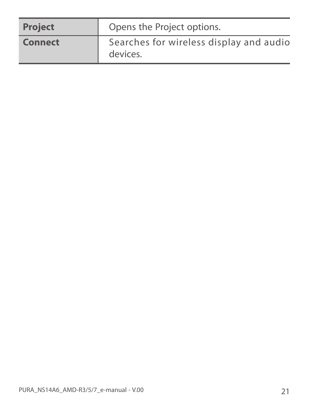| <b>Project</b> | Opens the Project options.                          |
|----------------|-----------------------------------------------------|
| <b>Connect</b> | Searches for wireless display and audio<br>devices. |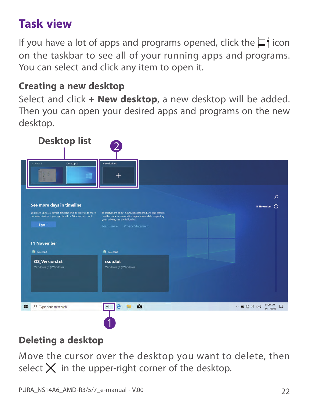## **Task view**

If you have a lot of apps and programs opened, click the  $\Box$  icon on the taskbar to see all of your running apps and programs. You can select and click any item to open it.

#### **Creating a new desktop**

Select and click **+ New desktop**, a new desktop will be added. Then you can open your desired apps and programs on the new desktop.

![](_page_21_Picture_4.jpeg)

### **Deleting a desktop**

Move the cursor over the desktop you want to delete, then select  $\times$  in the upper-right corner of the desktop.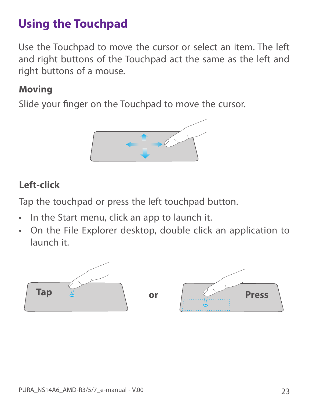## **Using the Touchpad**

Use the Touchpad to move the cursor or select an item. The left and right buttons of the Touchpad act the same as the left and right buttons of a mouse.

#### **Moving**

Slide your finger on the Touchpad to move the cursor.

![](_page_22_Picture_4.jpeg)

#### **Left-click**

Tap the touchpad or press the left touchpad button.

- In the Start menu, click an app to launch it.
- On the File Explorer desktop, double click an application to launch it.

![](_page_22_Figure_9.jpeg)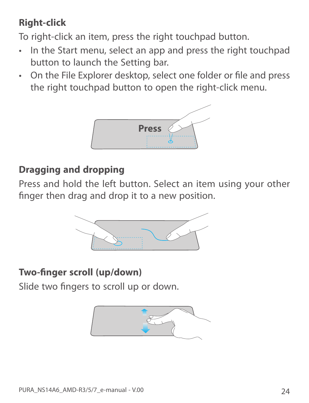## **Right-click**

To right-click an item, press the right touchpad button.

- In the Start menu, select an app and press the right touchpad button to launch the Setting bar.
- On the File Explorer desktop, select one folder or file and press the right touchpad button to open the right-click menu.

![](_page_23_Picture_4.jpeg)

#### **Dragging and dropping**

Press and hold the left button. Select an item using your other finger then drag and drop it to a new position.

![](_page_23_Picture_7.jpeg)

### **Two-finger scroll (up/down)**

Slide two fingers to scroll up or down.

![](_page_23_Picture_10.jpeg)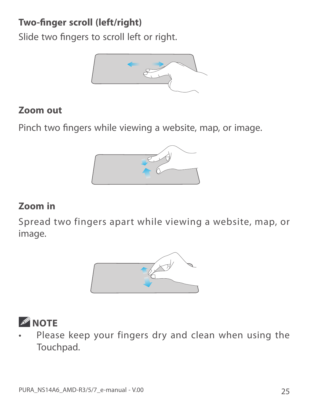### **Two-finger scroll (left/right)**

Slide two fingers to scroll left or right.

![](_page_24_Picture_2.jpeg)

#### **Zoom out**

Pinch two fingers while viewing a website, map, or image.

![](_page_24_Picture_5.jpeg)

#### **Zoom in**

Spread two fingers apart while viewing a website, map, or image.

![](_page_24_Picture_8.jpeg)

![](_page_24_Picture_9.jpeg)

Please keep your fingers dry and clean when using the Touchpad.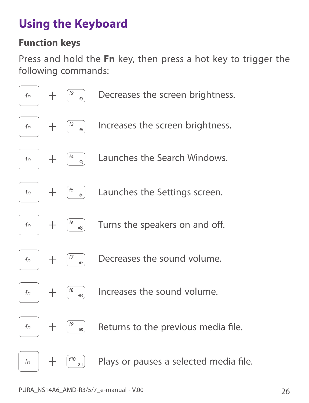## **Using the Keyboard**

#### **Function keys**

Press and hold the **Fn** key, then press a hot key to trigger the following commands:

![](_page_25_Figure_3.jpeg)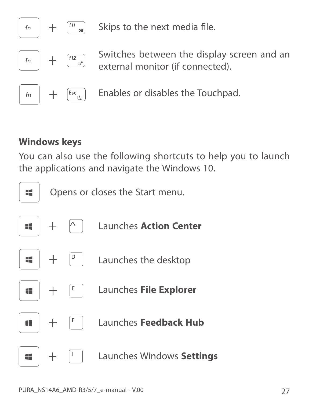![](_page_26_Figure_0.jpeg)

Skips to the next media file.

Switches between the display screen and an external monitor (if connected).

Enables or disables the Touchpad.

#### **Windows keys**

You can also use the following shortcuts to help you to launch the applications and navigate the Windows 10.

![](_page_26_Figure_6.jpeg)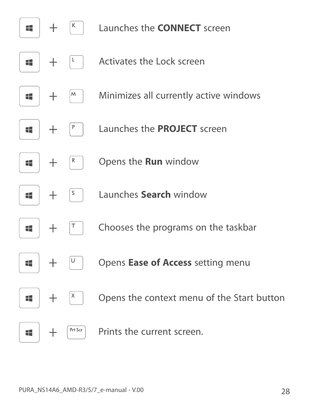![](_page_27_Figure_0.jpeg)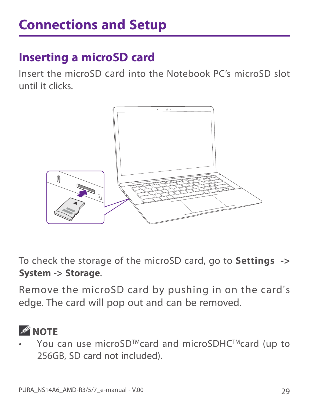## **Inserting a microSD card**

Insert the microSD card into the Notebook PC's microSD slot until it clicks.

![](_page_28_Picture_3.jpeg)

To check the storage of the microSD card, go to **Settings -> System -> Storage**.

Remove the microSD card by pushing in on the card's edge. The card will pop out and can be removed.

![](_page_28_Picture_6.jpeg)

You can use microSD™card and microSDHC™card (up to 256GB, SD card not included).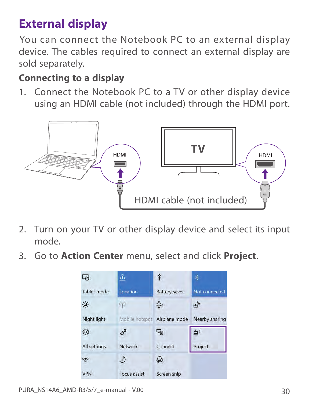## **External display**

You can connect the Notebook PC to an external display device. The cables required to connect an external display are sold separately.

#### **Connecting to a display**

1. Connect the Notebook PC to a TV or other display device using an HDMI cable (not included) through the HDMI port.

![](_page_29_Figure_4.jpeg)

- 2. Turn on your TV or other display device and select its input mode.
- 3. Go to **Action Center** menu, select and click **Project**.

![](_page_29_Picture_7.jpeg)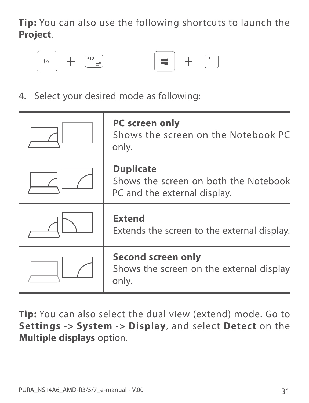**Tip:** You can also use the following shortcuts to launch the **Project**.

![](_page_30_Figure_1.jpeg)

![](_page_30_Figure_2.jpeg)

4. Select your desired mode as following:

| <b>PC screen only</b><br>Shows the screen on the Notebook PC<br>only.                     |
|-------------------------------------------------------------------------------------------|
| <b>Duplicate</b><br>Shows the screen on both the Notebook<br>PC and the external display. |
| <b>Extend</b><br>Extends the screen to the external display.                              |
| <b>Second screen only</b><br>Shows the screen on the external display<br>only.            |

**Tip:** You can also select the dual view (extend) mode. Go to **Settings -> System -> Display**, and select **Detect** on the **Multiple displays** option.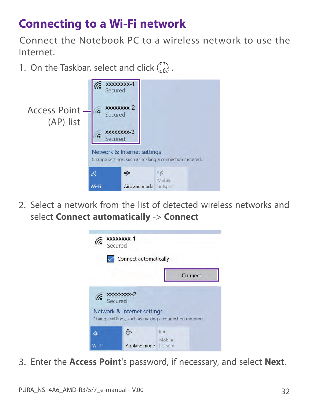## **Connecting to a Wi-Fi network**

Connect the Notebook PC to a wireless network to use the Internet.

1. On the Taskbar, select and click  $\left(\overline{\mathcal{R}}\right)$ .

![](_page_31_Picture_3.jpeg)

2. Select a network from the list of detected wireless networks and select **Connect automatically** -> **Connect**

![](_page_31_Picture_5.jpeg)

3. Enter the **Access Point**'s password, if necessary, and select **Next**.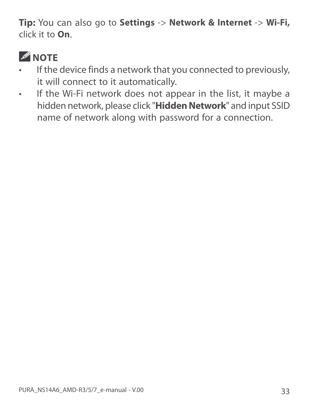**Tip:** You can also go to **Settings** -> **Network & Internet** -> **Wi-Fi,**  click it to **On**.

![](_page_32_Picture_1.jpeg)

- If the device finds a network that you connected to previously, it will connect to it automatically.
- If the Wi-Fi network does not appear in the list, it maybe a hidden network, please click "**Hidden Network**" and input SSID name of network along with password for a connection.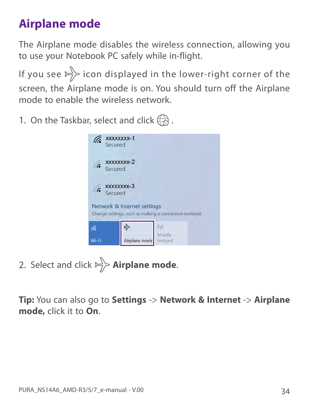## **Airplane mode**

The Airplane mode disables the wireless connection, allowing you to use your Notebook PC safely while in-flight.

If you see  $\Rightarrow$  icon displayed in the lower-right corner of the screen, the Airplane mode is on. You should turn off the Airplane mode to enable the wireless network.

1. On the Taskbar, select and click  $\left(\frac{1}{\sqrt{2}}\right)$ .

![](_page_33_Picture_4.jpeg)

2. Select and click  $\Rightarrow$  **Airplane mode.** 

**Tip:** You can also go to **Settings** -> **Network & Internet** -> **Airplane mode,** click it to **On**.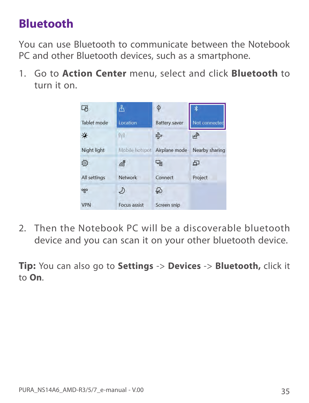## **Bluetooth**

You can use Bluetooth to communicate between the Notebook PC and other Bluetooth devices, such as a smartphone.

1. Go to **Action Center** menu, select and click **Bluetooth** to turn it on.

![](_page_34_Picture_3.jpeg)

2. Then the Notebook PC will be a discoverable bluetooth device and you can scan it on your other bluetooth device.

**Tip:** You can also go to **Settings** -> **Devices** -> **Bluetooth,** click it to **On**.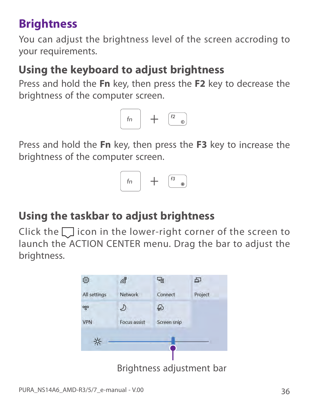## **Brightness**

You can adjust the brightness level of the screen accroding to your requirements.

## **Using the keyboard to adjust brightness**

Press and hold the **Fn** key, then press the **F2** key to decrease the brightness of the computer screen.

![](_page_35_Picture_4.jpeg)

Press and hold the **Fn** key, then press the **F3** key to increase the brightness of the computer screen.

![](_page_35_Picture_6.jpeg)

## **Using the taskbar to adjust brightness**

Click the  $\Box$  icon in the lower-right corner of the screen to launch the ACTION CENTER menu. Drag the bar to adjust the brightness.

![](_page_35_Picture_9.jpeg)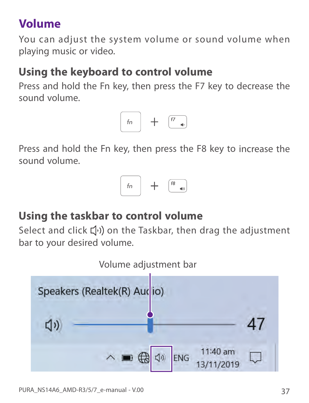## **Volume**

You can adjust the system volume or sound volume when playing music or video.

## **Using the keyboard to control volume**

Press and hold the Fn key, then press the F7 key to decrease the sound volume.

![](_page_36_Picture_4.jpeg)

Press and hold the Fn key, then press the F8 key to increase the sound volume.

![](_page_36_Picture_6.jpeg)

## **Using the taskbar to control volume**

Select and click  $\left(\!\left(\cdot\right)\!\right)$  on the Taskbar, then drag the adjustment bar to your desired volume.

![](_page_36_Figure_9.jpeg)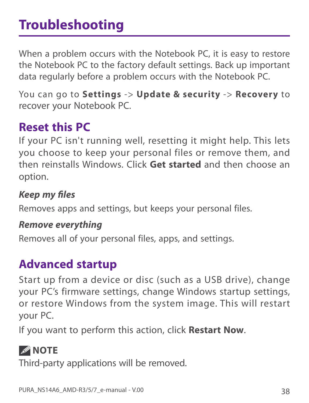# **Troubleshooting**

When a problem occurs with the Notebook PC, it is easy to restore the Notebook PC to the factory default settings. Back up important data regularly before a problem occurs with the Notebook PC.

You can go to **Settings** -> **Update & security** -> **Recovery** to recover your Notebook PC.

## **Reset this PC**

If your PC isn't running well, resetting it might help. This lets you choose to keep your personal files or remove them, and then reinstalls Windows. Click **Get started** and then choose an option.

*Keep my fi les* Removes apps and settings, but keeps your personal files.

*Remove everything* Removes all of your personal files, apps, and settings.

## **Advanced startup**

Start up from a device or disc (such as a USB drive), change your PC's firmware settings, change Windows startup settings, or restore Windows from the system image. This will restart your PC.

If you want to perform this action, click **Restart Now**.

## *A* NOTE

Third-party applications will be removed.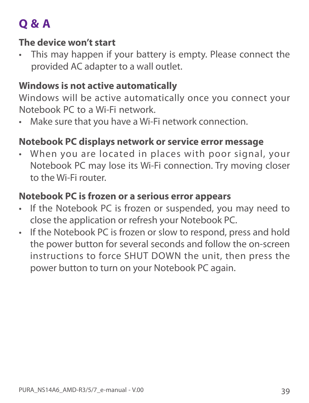# **Q & A**

#### **The device won't start**

This may happen if your battery is empty. Please connect the provided AC adapter to a wall outlet.

#### **Windows is not active automatically**

Windows will be active automatically once you connect your Notebook PC to a Wi-Fi network.

Make sure that you have a Wi-Fi network connection.

### **Notebook PC displays network or service error message**

• When you are located in places with poor signal, your Notebook PC may lose its Wi-Fi connection. Try moving closer to the Wi-Fi router.

#### **Notebook PC is frozen or a serious error appears**

- If the Notebook PC is frozen or suspended, you may need to close the application or refresh your Notebook PC.
- If the Notebook PC is frozen or slow to respond, press and hold the power button for several seconds and follow the on-screen instructions to force SHUT DOWN the unit, then press the power button to turn on your Notebook PC again.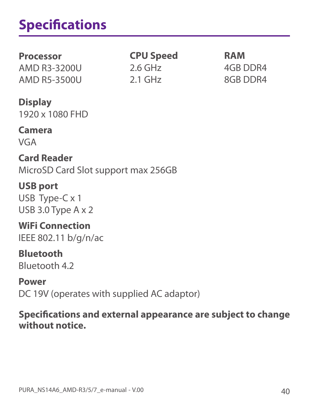# **Specifications**

#### **Processor**

AMD R3-3200U AMD R5-3500U

**CPU Speed** 2.6 GHz 2.1 GHz

**RAM** 4GB DDR4 8GB DDR4

**Display** 1920 x 1080 FHD

#### **Camera**

VGA

**Card Reader** MicroSD Card Slot support max 256GB

#### **USB port** USB Type-C x 1 USB 3.0 Type A x 2

**WiFi Connection** IEEE 802.11 b/g/n/ac

**Bluetooth** Bluetooth 4.2

**Power** DC 19V (operates with supplied AC adaptor)

#### **Specifi cations and external appearance are subject to change without notice.**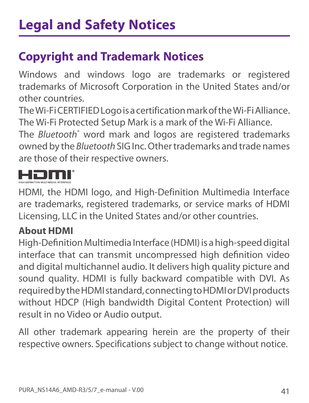## **Copyright and Trademark Notices**

Windows and windows logo are trademarks or registered trademarks of Microsoft Corporation in the United States and/or other countries.

The Wi-Fi CERTIFIED Logo is a certification mark of the Wi-Fi Alliance. The Wi-Fi Protected Setup Mark is a mark of the Wi-Fi Alliance.

The *Bluetooth*® word mark and logos are registered trademarks owned by the *Bluetooth* SIG Inc. Other trademarks and trade names are those of their respective owners.

HDMI, the HDMI logo, and High-Definition Multimedia Interface are trademarks, registered trademarks, or service marks of HDMI Licensing, LLC in the United States and/or other countries.

### **About HDMI**

High-Definition Multimedia Interface (HDMI) is a high-speed digital interface that can transmit uncompressed high definition video and digital multichannel audio. It delivers high quality picture and sound quality. HDMI is fully backward compatible with DVI. As required by the HDMI standard, connecting to HDMI or DVI products without HDCP (High bandwidth Digital Content Protection) will result in no Video or Audio output.

All other trademark appearing herein are the property of their respective owners. Specifications subject to change without notice.